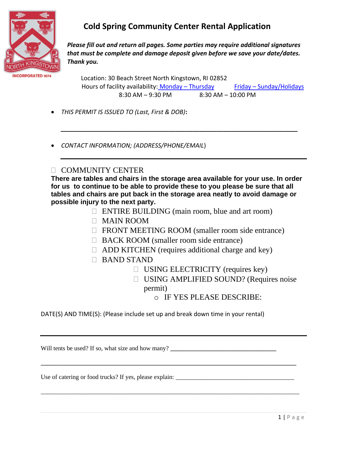

*Please fill out and return all pages. Some parties may require additional signatures that must be complete and damage deposit given before we save your date/dates. Thank you.*

 Location: 30 Beach Street North Kingstown, RI 02852 Hours of facility availability: Monday - Thursday Friday - Sunday/Holidays  $8:30$  AM – 9:30 PM  $8:30$  AM – 10:00 PM

- *THIS PERMIT IS ISSUED TO (Last, First & DOB)***:**
- *CONTACT INFORMATION; (ADDRESS/PHONE/EMAIL*)

### **COMMUNITY CENTER**

**There are tables and chairs in the storage area available for your use. In order for us to continue to be able to provide these to you please be sure that all tables and chairs are put back in the storage area neatly to avoid damage or possible injury to the next party.** 

*\_\_\_\_\_\_\_\_\_\_\_\_\_\_\_\_\_\_\_\_\_\_\_\_\_\_\_\_\_\_\_\_\_\_\_\_\_\_\_\_\_\_\_\_\_\_\_\_\_\_\_\_\_\_\_\_\_\_\_\_\_\_\_\_\_\_\_\_\_\_*

- $\Box$  ENTIRE BUILDING (main room, blue and art room)
- MAIN ROOM
- □ FRONT MEETING ROOM (smaller room side entrance)
- □ BACK ROOM (smaller room side entrance)
- $\Box$  ADD KITCHEN (requires additional charge and key)
- BAND STAND
	- $\Box$  USING ELECTRICITY (requires key)
	- □ USING AMPLIFIED SOUND? (Requires noise permit)

o IF YES PLEASE DESCRIBE:

DATE(S) AND TIME(S): (Please include set up and break down time in your rental)

**\_\_\_\_\_\_\_\_\_\_\_\_\_\_\_\_\_\_\_\_\_\_\_\_\_\_\_\_\_\_\_\_\_\_\_\_\_\_\_\_\_\_\_\_\_\_\_\_\_\_\_\_\_\_\_\_\_\_\_\_\_\_\_\_\_\_\_\_\_\_\_\_\_\_\_\_\_\_\_\_\_\_**

\_\_\_\_\_\_\_\_\_\_\_\_\_\_\_\_\_\_\_\_\_\_\_\_\_\_\_\_\_\_\_\_\_\_\_\_\_\_\_\_\_\_\_\_\_\_\_\_\_\_\_\_\_\_\_\_\_\_\_\_\_\_\_\_\_\_\_\_\_\_\_\_\_\_\_\_\_\_\_\_\_\_\_

Will tents be used? If so, what size and how many?

Use of catering or food trucks? If yes, please explain: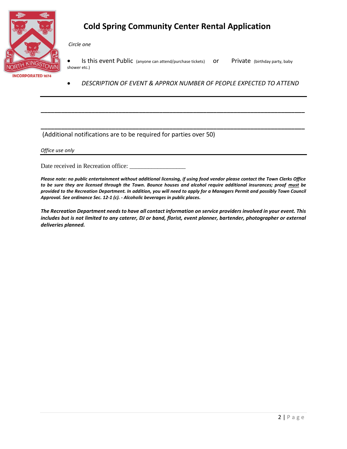

*Circle one* 

• Is this event Public (anyone can attend/purchase tickets) or Private (birthday party, baby shower etc.)

• *DESCRIPTION OF EVENT & APPROX NUMBER OF PEOPLE EXPECTED TO ATTEND* 

**\_\_\_\_\_\_\_\_\_\_\_\_\_\_\_\_\_\_\_\_\_\_\_\_\_\_\_\_\_\_\_\_\_\_\_\_\_\_\_\_\_\_\_\_\_\_\_\_\_\_\_\_\_\_\_\_\_\_\_\_\_\_\_\_\_\_\_\_\_\_\_\_\_\_\_\_\_\_**

**\_\_\_\_\_\_\_\_\_\_\_\_\_\_\_\_\_\_\_\_\_\_\_\_\_\_\_\_\_\_\_\_\_\_\_\_\_\_\_\_\_\_\_\_\_\_\_\_\_\_\_\_\_\_\_\_\_\_\_\_\_\_\_\_\_\_\_\_\_\_\_\_\_\_\_\_\_\_**

### (Additional notifications are to be required for parties over 50)

*Office use only*

Date received in Recreation office:

*Please note: no public entertainment without additional licensing, if using food vendor please contact the Town Clerks Office to be sure they are licensed through the Town. Bounce houses and alcohol require additional insurances; proof must be provided to the Recreation Department. In addition, you will need to apply for a Managers Permit and possibly Town Council Approval. See ordinance Sec. 12-1 (c). - Alcoholic beverages in public places.* 

*The Recreation Department needs to have all contact information on service providers involved in your event. This includes but is not limited to any caterer, DJ or band, florist, event planner, bartender, photographer or external deliveries planned.*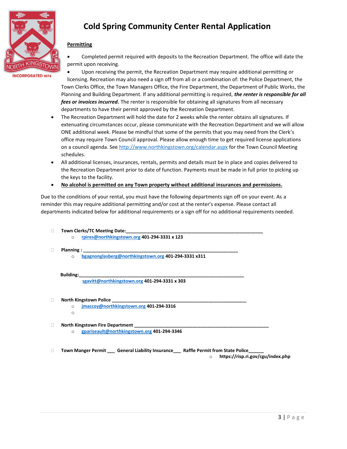

### **Permitting**

• Completed permit required with deposits to the Recreation Department. The office will date the permit upon receiving.

**INCORPORATED 1674** 

• Upon receiving the permit, the Recreation Department may require additional permitting or licensing. Recreation may also need a sign off from all or a combination of: the Police Department, the Town Clerks Office, the Town Managers Office, the Fire Department, the Department of Public Works, the Planning and Building Department. If any additional permitting is required, *the renter is responsible for all fees or invoices incurred.* The renter is responsible for obtaining all signatures from all necessary departments to have their permit approved by the Recreation Department.

- The Recreation Department will hold the date for 2 weeks while the renter obtains all signatures. If extenuating circumstances occur, please communicate with the Recreation Department and we will allow ONE additional week. Please be mindful that some of the permits that you may need from the Clerk's office may require Town Council approval. Please allow enough time to get required license applications on a council agenda. See<http://www.northkingstown.org/calendar.aspx> for the Town Council Meeting schedules.
- All additional licenses, insurances, rentals, permits and details must be in place and copies delivered to the Recreation Department prior to date of function. Payments must be made in full prior to picking up the keys to the facility.
- **No alcohol is permitted on any Town property without additional insurances and permissions.**

Due to the conditions of your rental, you must have the following departments sign off on your event. As a reminder this may require additional permitting and/or cost at the renter's expense. Please contact all departments indicated below for additional requirements or a sign off for no additional requirements needed.

- $\Box$  Town Clerks/TC Meeting Date:
	- o **[rpires@northkingstown.org](mailto:rpires@northkingstown.org) 401-294-3331 x 123**
- **Planning** :
	- o **[bgagnonglasberg@northkingstown.org](mailto:bgagnonglasberg@northkingstown.org) 401-294-3331 x311**

#### **Building:\_\_\_\_\_\_\_\_\_\_\_\_\_\_\_\_\_\_\_\_\_\_\_\_\_\_\_\_\_\_\_\_\_\_\_\_\_\_\_\_\_\_\_\_\_\_\_\_\_\_\_\_\_\_\_\_\_\_\_\_\_\_\_\_\_**

 **[sgavitt@northkingstown.org](mailto:sgavitt@northkingstown.org) 401-294-3331 x 303**

- **North Kingstown Police** 
	- o **[jmaccoy@northkingstown.org](mailto:jmaccoy@northkingstown.org) 401-294-3316** o
- **North Kingstown Fire Department** 
	- o **[gpariseault@northkingstown.org](mailto:gpariseault@northkingstown.org) 401-294-3346**

**Town Manger Permit \_\_\_ General Liability Insurance\_\_\_ Raffle Permit from State Police\_\_\_\_\_\_**

o **https://risp.ri.gov/cgu/index.php**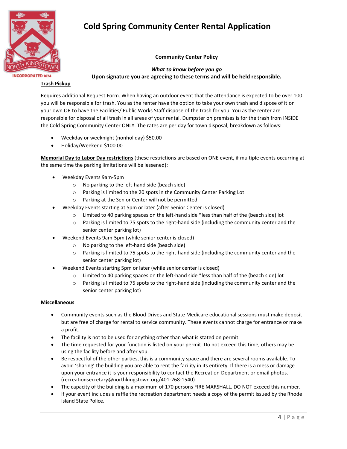

#### **Community Center Policy**

**INCORPORATED 1674** 

*What to know before you go* **Upon signature you are agreeing to these terms and will be held responsible.**

#### **Trash Pickup**

Requires additional Request Form. When having an outdoor event that the attendance is expected to be over 100 you will be responsible for trash. You as the renter have the option to take your own trash and dispose of it on your own OR to have the Facilities/ Public Works Staff dispose of the trash for you. You as the renter are responsible for disposal of all trash in all areas of your rental. Dumpster on premises is for the trash from INSIDE the Cold Spring Community Center ONLY. The rates are per day for town disposal, breakdown as follows:

- Weekday or weeknight (nonholiday) \$50.00
- Holiday/Weekend \$100.00

**Memorial Day to Labor Day restrictions** (these restrictions are based on ONE event, if multiple events occurring at the same time the parking limitations will be lessened):

- Weekday Events 9am-5pm
	- o No parking to the left-hand side (beach side)
	- o Parking is limited to the 20 spots in the Community Center Parking Lot
	- o Parking at the Senior Center will not be permitted
- Weekday Events starting at 5pm or later (after Senior Center is closed)
	- o Limited to 40 parking spaces on the left-hand side \*less than half of the (beach side) lot
	- $\circ$  Parking is limited to 75 spots to the right-hand side (including the community center and the senior center parking lot)
- Weekend Events 9am-5pm (while senior center is closed)
	- o No parking to the left-hand side (beach side)
	- o Parking is limited to 75 spots to the right-hand side (including the community center and the senior center parking lot)
- Weekend Events starting 5pm or later (while senior center is closed)
	- $\circ$  Limited to 40 parking spaces on the left-hand side \*less than half of the (beach side) lot
	- o Parking is limited to 75 spots to the right-hand side (including the community center and the senior center parking lot)

#### **Miscellaneous**

- Community events such as the Blood Drives and State Medicare educational sessions must make deposit but are free of charge for rental to service community. These events cannot charge for entrance or make a profit.
- The facility is not to be used for anything other than what is stated on permit.
- The time requested for your function is listed on your permit. Do not exceed this time, others may be using the facility before and after you.
- Be respectful of the other parties, this is a community space and there are several rooms available. To avoid 'sharing' the building you are able to rent the facility in its entirety. If there is a mess or damage upon your entrance it is your responsibility to contact the Recreation Department or email photos. (recreationsecretary@northkingstown.org/401-268-1540)
- The capacity of the building is a maximum of 170 persons FIRE MARSHALL. DO NOT exceed this number.
- If your event includes a raffle the recreation department needs a copy of the permit issued by the Rhode Island State Police.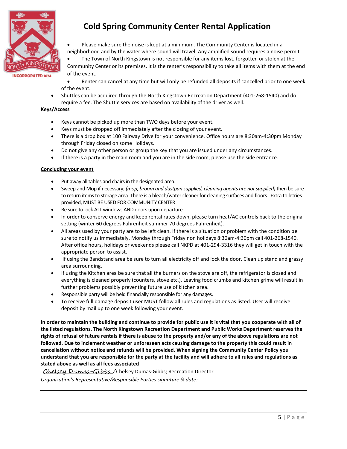

• Please make sure the noise is kept at a minimum. The Community Center is located in a neighborhood and by the water where sound will travel. Any amplified sound requires a noise permit.

The Town of North Kingstown is not responsible for any items lost, forgotten or stolen at the Community Center or its premises. It is the renter's responsibility to take all items with them at the end of the event.

• Renter can cancel at any time but will only be refunded all deposits if cancelled prior to one week of the event.

• Shuttles can be acquired through the North Kingstown Recreation Department (401-268-1540) and do require a fee. The Shuttle services are based on availability of the driver as well.

#### **Keys/Access**

- Keys cannot be picked up more than TWO days before your event.
- Keys must be dropped off immediately after the closing of your event.
- There is a drop box at 100 Fairway Drive for your convenience. Office hours are 8:30am-4:30pm Monday through Friday closed on some Holidays.
- Do not give any other person or group the key that you are issued under any circumstances.
- If there is a party in the main room and you are in the side room, please use the side entrance.

#### **Concluding your event**

- Put away all tables and chairs in the designated area.
- Sweep and Mop if necessary; *(mop, broom and dustpan supplied, cleaning agents are not supplied)* then be sure to return items to storage area. There is a bleach/water cleaner for cleaning surfaces and floors. Extra toiletries provided, MUST BE USED FOR COMMUNITY CENTER
- Be sure to lock ALL windows AND doors upon departure
- In order to conserve energy and keep rental rates down, please turn heat/AC controls back to the original setting (winter 60 degrees Fahrenheit summer 70 degrees Fahrenheit).
- All areas used by your party are to be left clean. If there is a situation or problem with the condition be sure to notify us immediately. Monday through Friday non holidays 8:30am-4:30pm call 401-268-1540. After office hours, holidays or weekends please call NKPD at 401-294-3316 they will get in touch with the appropriate person to assist.
- If using the Bandstand area be sure to turn all electricity off and lock the door. Clean up stand and grassy area surrounding.
- If using the Kitchen area be sure that all the burners on the stove are off, the refrigerator is closed and everything is cleaned properly (counters, stove etc.). Leaving food crumbs and kitchen grime will result in further problems possibly preventing future use of kitchen area.
- Responsible party will be held financially responsible for any damages.
- To receive full damage deposit user MUST follow all rules and regulations as listed. User will receive deposit by mail up to one week following your event.

**In order to maintain the building and continue to provide for public use it is vital that you cooperate with all of the listed regulations. The North Kingstown Recreation Department and Public Works Department reserves the rights of refusal of future rentals if there is abuse to the property and/or any of the above regulations are not followed. Due to inclement weather or unforeseen acts causing damage to the property this could result in cancellation without notice and refunds will be provided. When signing the Community Center Policy you understand that you are responsible for the party at the facility and will adhere to all rules and regulations as stated above as well as all fees associated**

Chelsey Dumas-Gibbs\_/Chelsey Dumas-Gibbs; Recreation Director *Organization's Representative/Responsible Parties signature & date:*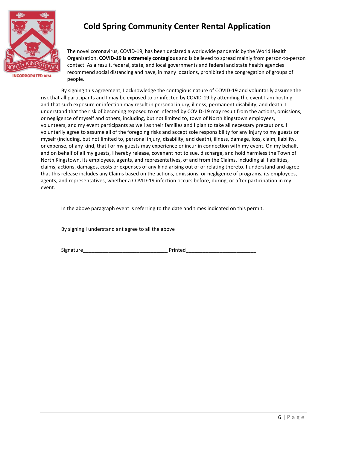

The novel coronavirus, COVID-19, has been declared a worldwide pandemic by the World Health Organization. **COVID-19 is extremely contagious** and is believed to spread mainly from person-to-person contact. As a result, federal, state, and local governments and federal and state health agencies recommend social distancing and have, in many locations, prohibited the congregation of groups of people.

By signing this agreement, **I** acknowledge the contagious nature of COVID-19 and voluntarily assume the risk that all participants and I may be exposed to or infected by COVID-19 by attending the event I am hosting and that such exposure or infection may result in personal injury, illness, permanent disability, and death. **I**  understand that the risk of becoming exposed to or infected by COVID-19 may result from the actions, omissions, or negligence of myself and others, including, but not limited to, town of North Kingstown employees, volunteers, and my event participants as well as their families and I plan to take all necessary precautions. I voluntarily agree to assume all of the foregoing risks and accept sole responsibility for any injury to my guests or myself (including, but not limited to, personal injury, disability, and death), illness, damage, loss, claim, liability, or expense, of any kind, that I or my guests may experience or incur in connection with my event. On my behalf, and on behalf of all my guests, **I** hereby release, covenant not to sue, discharge, and hold harmless the Town of North Kingstown, its employees, agents, and representatives, of and from the Claims, including all liabilities, claims, actions, damages, costs or expenses of any kind arising out of or relating thereto. **I** understand and agree that this release includes any Claims based on the actions, omissions, or negligence of programs, its employees, agents, and representatives, whether a COVID-19 infection occurs before, during, or after participation in my event.

In the above paragraph event is referring to the date and times indicated on this permit.

By signing I understand ant agree to all the above

Signature\_\_\_\_\_\_\_\_\_\_\_\_\_\_\_\_\_\_\_\_\_\_\_\_\_\_\_\_\_\_ Printed\_\_\_\_\_\_\_\_\_\_\_\_\_\_\_\_\_\_\_\_\_\_\_\_\_